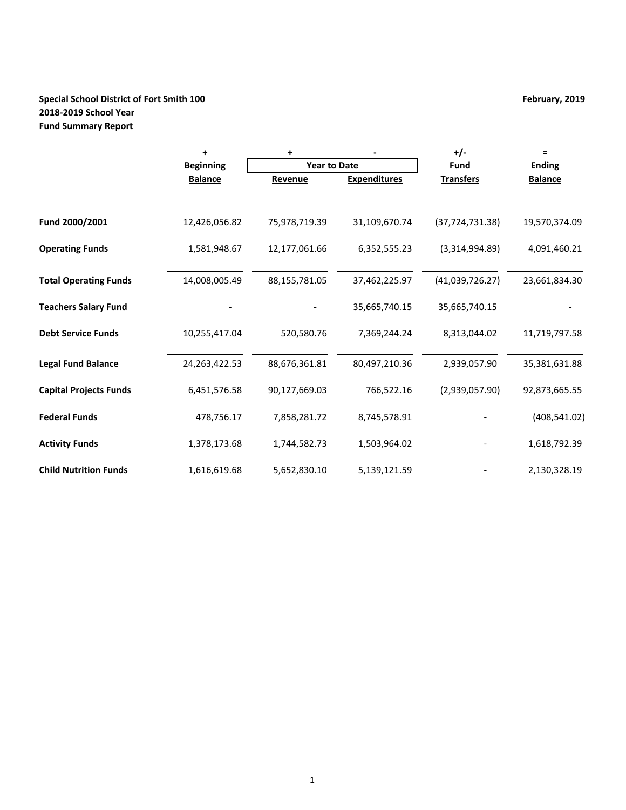# **Special School District of Fort Smith 100 February, 2019 February, 2019 2018-2019 School Year Fund Summary Report**

|                               | $\ddot{}$        | +                   |                     | $+/-$             | $\equiv$       |
|-------------------------------|------------------|---------------------|---------------------|-------------------|----------------|
|                               | <b>Beginning</b> | <b>Year to Date</b> |                     | <b>Fund</b>       | <b>Ending</b>  |
|                               | <b>Balance</b>   | Revenue             | <b>Expenditures</b> | <b>Transfers</b>  | <b>Balance</b> |
|                               |                  |                     |                     |                   |                |
| Fund 2000/2001                | 12,426,056.82    | 75,978,719.39       | 31,109,670.74       | (37, 724, 731.38) | 19,570,374.09  |
| <b>Operating Funds</b>        | 1,581,948.67     | 12,177,061.66       | 6,352,555.23        | (3,314,994.89)    | 4,091,460.21   |
| <b>Total Operating Funds</b>  | 14,008,005.49    | 88,155,781.05       | 37,462,225.97       | (41,039,726.27)   | 23,661,834.30  |
| <b>Teachers Salary Fund</b>   |                  |                     | 35,665,740.15       | 35,665,740.15     |                |
| <b>Debt Service Funds</b>     | 10,255,417.04    | 520,580.76          | 7,369,244.24        | 8,313,044.02      | 11,719,797.58  |
| <b>Legal Fund Balance</b>     | 24,263,422.53    | 88,676,361.81       | 80,497,210.36       | 2,939,057.90      | 35,381,631.88  |
| <b>Capital Projects Funds</b> | 6,451,576.58     | 90,127,669.03       | 766,522.16          | (2,939,057.90)    | 92,873,665.55  |
| <b>Federal Funds</b>          | 478,756.17       | 7,858,281.72        | 8,745,578.91        |                   | (408, 541.02)  |
| <b>Activity Funds</b>         | 1,378,173.68     | 1,744,582.73        | 1,503,964.02        |                   | 1,618,792.39   |
| <b>Child Nutrition Funds</b>  | 1,616,619.68     | 5,652,830.10        | 5,139,121.59        |                   | 2,130,328.19   |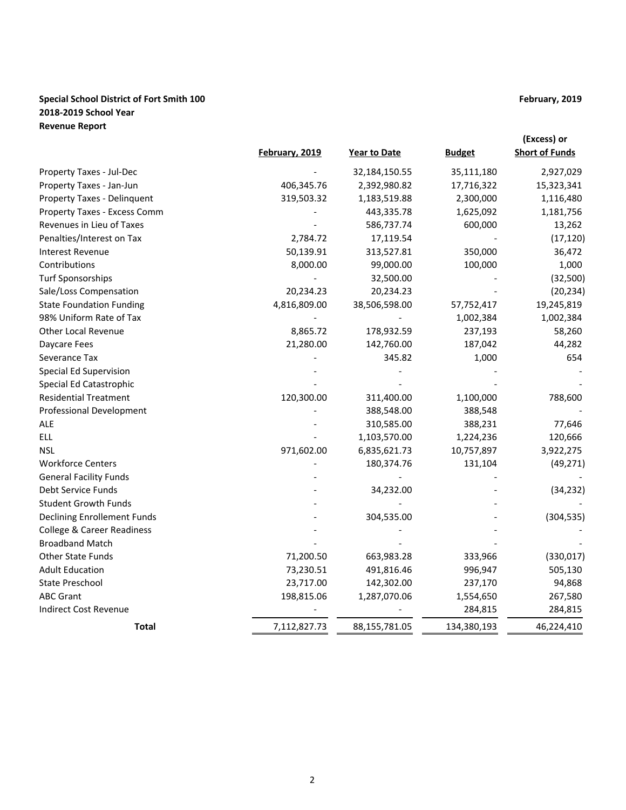# **Special School District of Fort Smith 100 February, 2019 February, 2019 2018-2019 School Year Revenue Report**

|                                    |                |               |               | (Excess) or           |
|------------------------------------|----------------|---------------|---------------|-----------------------|
|                                    | February, 2019 | Year to Date  | <b>Budget</b> | <b>Short of Funds</b> |
| Property Taxes - Jul-Dec           |                | 32,184,150.55 | 35,111,180    | 2,927,029             |
| Property Taxes - Jan-Jun           | 406,345.76     | 2,392,980.82  | 17,716,322    | 15,323,341            |
| Property Taxes - Delinquent        | 319,503.32     | 1,183,519.88  | 2,300,000     | 1,116,480             |
| Property Taxes - Excess Comm       |                | 443,335.78    | 1,625,092     | 1,181,756             |
| Revenues in Lieu of Taxes          |                | 586,737.74    | 600,000       | 13,262                |
| Penalties/Interest on Tax          | 2,784.72       | 17,119.54     |               | (17, 120)             |
| <b>Interest Revenue</b>            | 50,139.91      | 313,527.81    | 350,000       | 36,472                |
| Contributions                      | 8,000.00       | 99,000.00     | 100,000       | 1,000                 |
| <b>Turf Sponsorships</b>           |                | 32,500.00     |               | (32, 500)             |
| Sale/Loss Compensation             | 20,234.23      | 20,234.23     |               | (20, 234)             |
| <b>State Foundation Funding</b>    | 4,816,809.00   | 38,506,598.00 | 57,752,417    | 19,245,819            |
| 98% Uniform Rate of Tax            |                |               | 1,002,384     | 1,002,384             |
| <b>Other Local Revenue</b>         | 8,865.72       | 178,932.59    | 237,193       | 58,260                |
| Daycare Fees                       | 21,280.00      | 142,760.00    | 187,042       | 44,282                |
| Severance Tax                      |                | 345.82        | 1,000         | 654                   |
| Special Ed Supervision             |                |               |               |                       |
| Special Ed Catastrophic            |                |               |               |                       |
| <b>Residential Treatment</b>       | 120,300.00     | 311,400.00    | 1,100,000     | 788,600               |
| <b>Professional Development</b>    |                | 388,548.00    | 388,548       |                       |
| <b>ALE</b>                         |                | 310,585.00    | 388,231       | 77,646                |
| <b>ELL</b>                         |                | 1,103,570.00  | 1,224,236     | 120,666               |
| <b>NSL</b>                         | 971,602.00     | 6,835,621.73  | 10,757,897    | 3,922,275             |
| <b>Workforce Centers</b>           |                | 180,374.76    | 131,104       | (49, 271)             |
| <b>General Facility Funds</b>      |                |               |               |                       |
| Debt Service Funds                 |                | 34,232.00     |               | (34, 232)             |
| <b>Student Growth Funds</b>        |                |               |               |                       |
| <b>Declining Enrollement Funds</b> |                | 304,535.00    |               | (304, 535)            |
| College & Career Readiness         |                |               |               |                       |
| <b>Broadband Match</b>             |                |               |               |                       |
| Other State Funds                  | 71,200.50      | 663,983.28    | 333,966       | (330, 017)            |
| <b>Adult Education</b>             | 73,230.51      | 491,816.46    | 996,947       | 505,130               |
| <b>State Preschool</b>             | 23,717.00      | 142,302.00    | 237,170       | 94,868                |
| <b>ABC Grant</b>                   | 198,815.06     | 1,287,070.06  | 1,554,650     | 267,580               |
| Indirect Cost Revenue              |                |               | 284,815       | 284,815               |
| <b>Total</b>                       | 7,112,827.73   | 88,155,781.05 | 134,380,193   | 46,224,410            |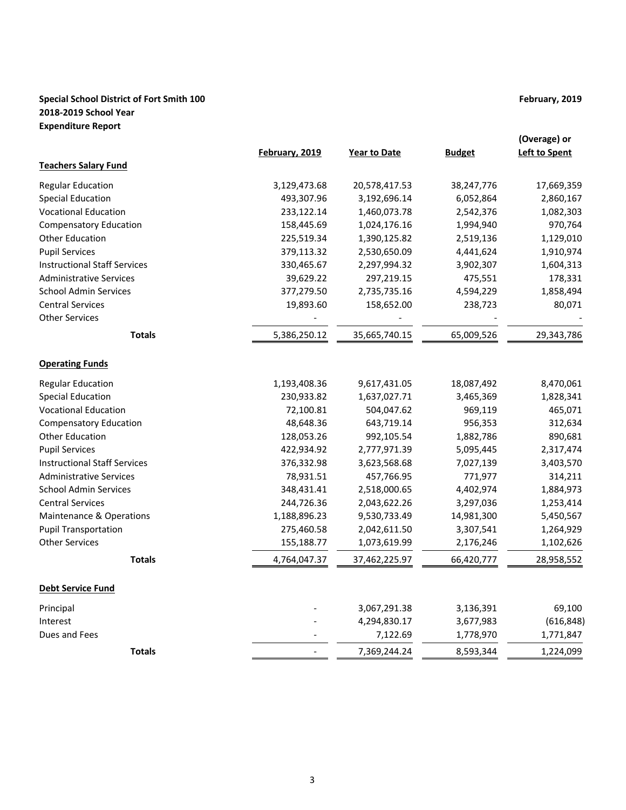# **Special School District of Fort Smith 100 February, 2019 February, 2019 2018-2019 School Year Expenditure Report**

|                                     | February, 2019 | <b>Year to Date</b> | <b>Budget</b> | (Overage) or<br><b>Left to Spent</b> |
|-------------------------------------|----------------|---------------------|---------------|--------------------------------------|
| <b>Teachers Salary Fund</b>         |                |                     |               |                                      |
| <b>Regular Education</b>            | 3,129,473.68   | 20,578,417.53       | 38,247,776    | 17,669,359                           |
| <b>Special Education</b>            | 493,307.96     | 3,192,696.14        | 6,052,864     | 2,860,167                            |
| <b>Vocational Education</b>         | 233,122.14     | 1,460,073.78        | 2,542,376     | 1,082,303                            |
| <b>Compensatory Education</b>       | 158,445.69     | 1,024,176.16        | 1,994,940     | 970,764                              |
| <b>Other Education</b>              | 225,519.34     | 1,390,125.82        | 2,519,136     | 1,129,010                            |
| <b>Pupil Services</b>               | 379,113.32     | 2,530,650.09        | 4,441,624     | 1,910,974                            |
| <b>Instructional Staff Services</b> | 330,465.67     | 2,297,994.32        | 3,902,307     | 1,604,313                            |
| <b>Administrative Services</b>      | 39,629.22      | 297,219.15          | 475,551       | 178,331                              |
| <b>School Admin Services</b>        | 377,279.50     | 2,735,735.16        | 4,594,229     | 1,858,494                            |
| <b>Central Services</b>             | 19,893.60      | 158,652.00          | 238,723       | 80,071                               |
| <b>Other Services</b>               |                |                     |               |                                      |
| <b>Totals</b>                       | 5,386,250.12   | 35,665,740.15       | 65,009,526    | 29,343,786                           |
| <b>Operating Funds</b>              |                |                     |               |                                      |
| <b>Regular Education</b>            | 1,193,408.36   | 9,617,431.05        | 18,087,492    | 8,470,061                            |
| <b>Special Education</b>            | 230,933.82     | 1,637,027.71        | 3,465,369     | 1,828,341                            |
| <b>Vocational Education</b>         | 72,100.81      | 504,047.62          | 969,119       | 465,071                              |
| <b>Compensatory Education</b>       | 48,648.36      | 643,719.14          | 956,353       | 312,634                              |
| <b>Other Education</b>              | 128,053.26     | 992,105.54          | 1,882,786     | 890,681                              |
| <b>Pupil Services</b>               | 422,934.92     | 2,777,971.39        | 5,095,445     | 2,317,474                            |
| <b>Instructional Staff Services</b> | 376,332.98     | 3,623,568.68        | 7,027,139     | 3,403,570                            |
| <b>Administrative Services</b>      | 78,931.51      | 457,766.95          | 771,977       | 314,211                              |
| <b>School Admin Services</b>        | 348,431.41     | 2,518,000.65        | 4,402,974     | 1,884,973                            |
| <b>Central Services</b>             | 244,726.36     | 2,043,622.26        | 3,297,036     | 1,253,414                            |
| Maintenance & Operations            | 1,188,896.23   | 9,530,733.49        | 14,981,300    | 5,450,567                            |
| <b>Pupil Transportation</b>         | 275,460.58     | 2,042,611.50        | 3,307,541     | 1,264,929                            |
| <b>Other Services</b>               | 155,188.77     | 1,073,619.99        | 2,176,246     | 1,102,626                            |
| <b>Totals</b>                       | 4,764,047.37   | 37,462,225.97       | 66,420,777    | 28,958,552                           |
| <b>Debt Service Fund</b>            |                |                     |               |                                      |
| Principal                           |                | 3,067,291.38        | 3,136,391     | 69,100                               |
| Interest                            |                | 4,294,830.17        | 3,677,983     | (616, 848)                           |
| Dues and Fees                       |                | 7,122.69            | 1,778,970     | 1,771,847                            |
| <b>Totals</b>                       |                | 7,369,244.24        | 8,593,344     | 1,224,099                            |